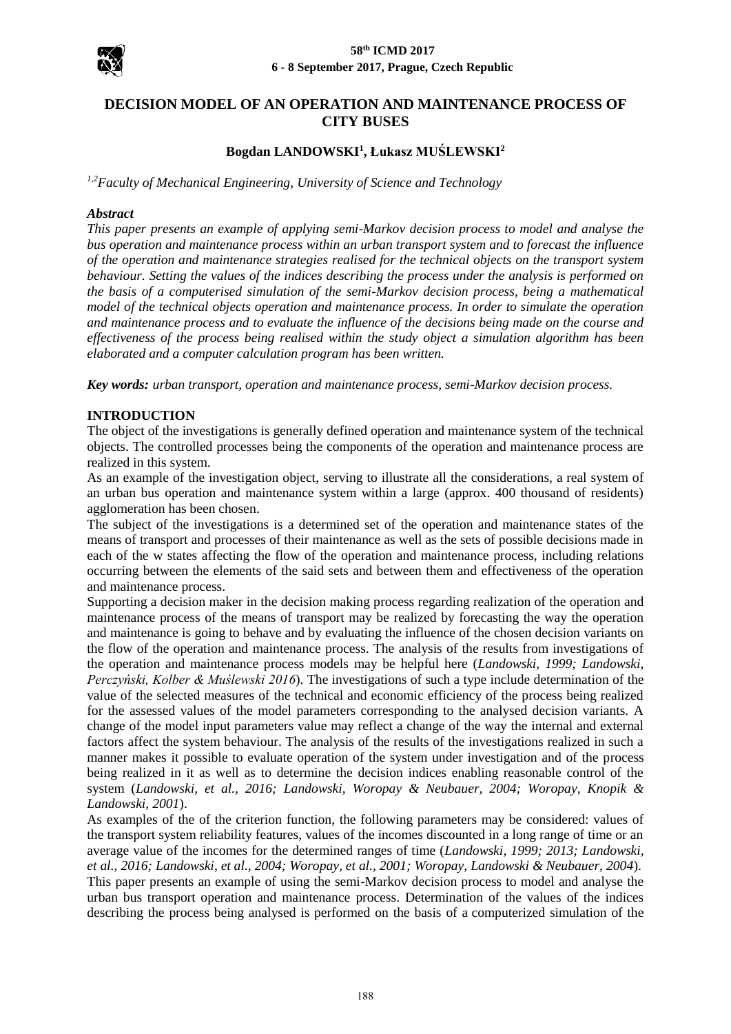

# **DECISION MODEL OF AN OPERATION AND MAINTENANCE PROCESS OF CITY BUSES**

## **Bogdan LANDOWSKI<sup>1</sup> , Łukasz MUŚLEWSKI<sup>2</sup>**

*1,2Faculty of Mechanical Engineering, University of Science and Technology*

#### *Abstract*

*This paper presents an example of applying semi-Markov decision process to model and analyse the bus operation and maintenance process within an urban transport system and to forecast the influence of the operation and maintenance strategies realised for the technical objects on the transport system behaviour. Setting the values of the indices describing the process under the analysis is performed on the basis of a computerised simulation of the semi-Markov decision process, being a mathematical model of the technical objects operation and maintenance process. In order to simulate the operation and maintenance process and to evaluate the influence of the decisions being made on the course and effectiveness of the process being realised within the study object a simulation algorithm has been elaborated and a computer calculation program has been written.*

*Key words: urban transport, operation and maintenance process, semi-Markov decision process.*

## **INTRODUCTION**

The object of the investigations is generally defined operation and maintenance system of the technical objects. The controlled processes being the components of the operation and maintenance process are realized in this system.

As an example of the investigation object, serving to illustrate all the considerations, a real system of an urban bus operation and maintenance system within a large (approx. 400 thousand of residents) agglomeration has been chosen.

The subject of the investigations is a determined set of the operation and maintenance states of the means of transport and processes of their maintenance as well as the sets of possible decisions made in each of the w states affecting the flow of the operation and maintenance process, including relations occurring between the elements of the said sets and between them and effectiveness of the operation and maintenance process.

Supporting a decision maker in the decision making process regarding realization of the operation and maintenance process of the means of transport may be realized by forecasting the way the operation and maintenance is going to behave and by evaluating the influence of the chosen decision variants on the flow of the operation and maintenance process. The analysis of the results from investigations of the operation and maintenance process models may be helpful here (*Landowski, 1999; Landowski, Perczyński, Kolber & Muślewski 2016*). The investigations of such a type include determination of the value of the selected measures of the technical and economic efficiency of the process being realized for the assessed values of the model parameters corresponding to the analysed decision variants. A change of the model input parameters value may reflect a change of the way the internal and external factors affect the system behaviour. The analysis of the results of the investigations realized in such a manner makes it possible to evaluate operation of the system under investigation and of the process being realized in it as well as to determine the decision indices enabling reasonable control of the system (*Landowski, et al., 2016; Landowski, Woropay & Neubauer, 2004; Woropay, Knopik & Landowski, 2001*).

As examples of the of the criterion function, the following parameters may be considered: values of the transport system reliability features, values of the incomes discounted in a long range of time or an average value of the incomes for the determined ranges of time (*Landowski, 1999; 2013; Landowski, et al., 2016; Landowski, et al., 2004; Woropay, et al., 2001; Woropay, Landowski & Neubauer, 2004*). This paper presents an example of using the semi-Markov decision process to model and analyse the urban bus transport operation and maintenance process. Determination of the values of the indices describing the process being analysed is performed on the basis of a computerized simulation of the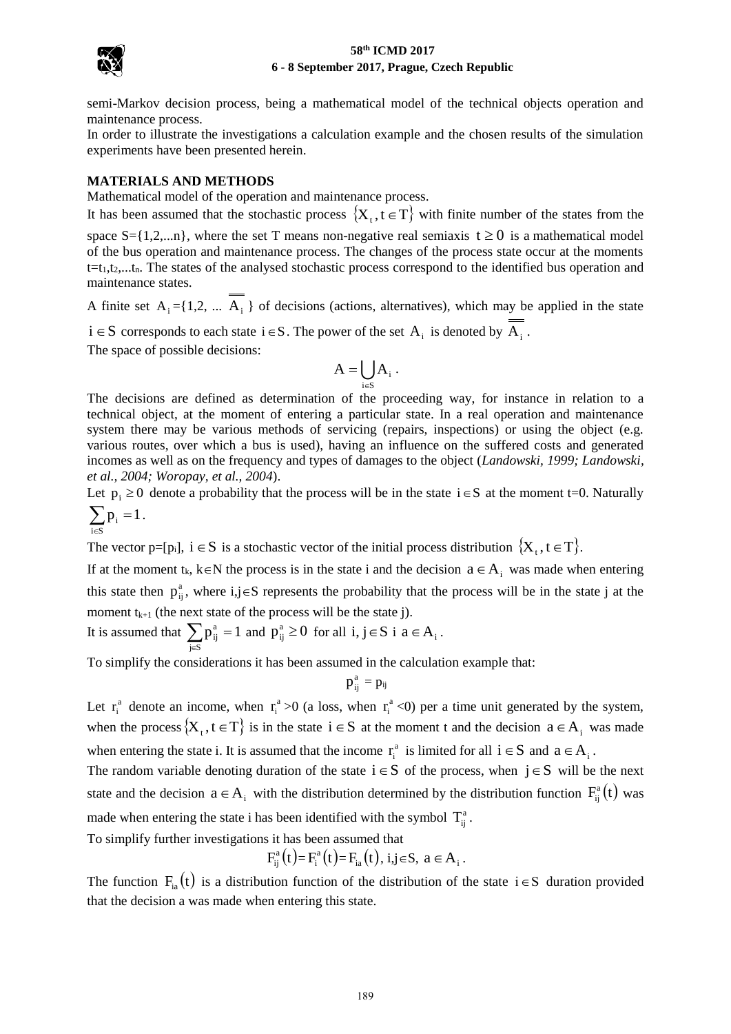

semi-Markov decision process, being a mathematical model of the technical objects operation and maintenance process.

In order to illustrate the investigations a calculation example and the chosen results of the simulation experiments have been presented herein.

### **MATERIALS AND METHODS**

Mathematical model of the operation and maintenance process.

It has been assumed that the stochastic process  $\{X_t, t \in T\}$  with finite number of the states from the space  $S = \{1, 2, \ldots n\}$ , where the set T means non-negative real semiaxis  $t \ge 0$  is a mathematical model of the bus operation and maintenance process. The changes of the process state occur at the moments  $t=t_1,t_2,...t_n$ . The states of the analysed stochastic process correspond to the identified bus operation and maintenance states.

A finite set  $A_i = \{1, 2, \dots, A_i\}$  of decisions (actions, alternatives), which may be applied in the state

 $i \in S$  corresponds to each state  $i \in S$ . The power of the set  $A_i$  is denoted by  $A_i$ . The space of possible decisions:

$$
A=\bigcup_{i\in S}A_i\ .
$$

The decisions are defined as determination of the proceeding way, for instance in relation to a technical object, at the moment of entering a particular state. In a real operation and maintenance system there may be various methods of servicing (repairs, inspections) or using the object (e.g. various routes, over which a bus is used), having an influence on the suffered costs and generated incomes as well as on the frequency and types of damages to the object (*Landowski, 1999; Landowski, et al., 2004; Woropay, et al., 2004*).

Let  $p_i \ge 0$  denote a probability that the process will be in the state  $i \in S$  at the moment t=0. Naturally  $\blacktriangledown$  $p_i = 1$ .

$$
\sum_{i\in S}p_i:
$$

The vector p=[p<sub>i</sub>],  $i \in S$  is a stochastic vector of the initial process distribution  $\{X_t, t \in T\}$ .

If at the moment  $t_k$ ,  $k \in N$  the process is in the state i and the decision  $a \in A_i$  was made when entering this state then  $p_{ij}^a$ , where  $i, j \in S$  represents the probability that the process will be in the state j at the moment  $t_{k+1}$  (the next state of the process will be the state j).

It is assumed that  $\sum_{j \in S}$  $=$ j∈S  $p_{ij}^a = 1$  and  $p_{ij}^a \ge 0$  for all  $i, j \in S$  i  $a \in A_i$ .

To simplify the considerations it has been assumed in the calculation example that:

$$
p_{ij}^{\mathrm{a}}=p_{ij}
$$

Let  $r_i^a$  denote an income, when  $r_i^a$  $r_i^a > 0$  (a loss, when  $r_i^a$  $r_i^a$  <0) per a time unit generated by the system, when the process  $\{X_t, t \in T\}$  is in the state  $i \in S$  at the moment t and the decision  $a \in A_i$  was made when entering the state i. It is assumed that the income  $r_i^a$  $r_i^a$  is limited for all  $i \in S$  and  $a \in A_i$ .

The random variable denoting duration of the state  $i \in S$  of the process, when  $j \in S$  will be the next state and the decision  $a \in A_i$  with the distribution determined by the distribution function  $F_{ij}^a(t)$  $f_{ij}^a(t)$  was made when entering the state i has been identified with the symbol  $T_{ij}^a$ .

To simplify further investigations it has been assumed that

$$
F_{ij}^a(t) = F_i^a(t) = F_{ia}(t), i, j \in S, a \in A_i.
$$

The function  $F_{ia}(t)$  is a distribution function of the distribution of the state  $i \in S$  duration provided that the decision a was made when entering this state.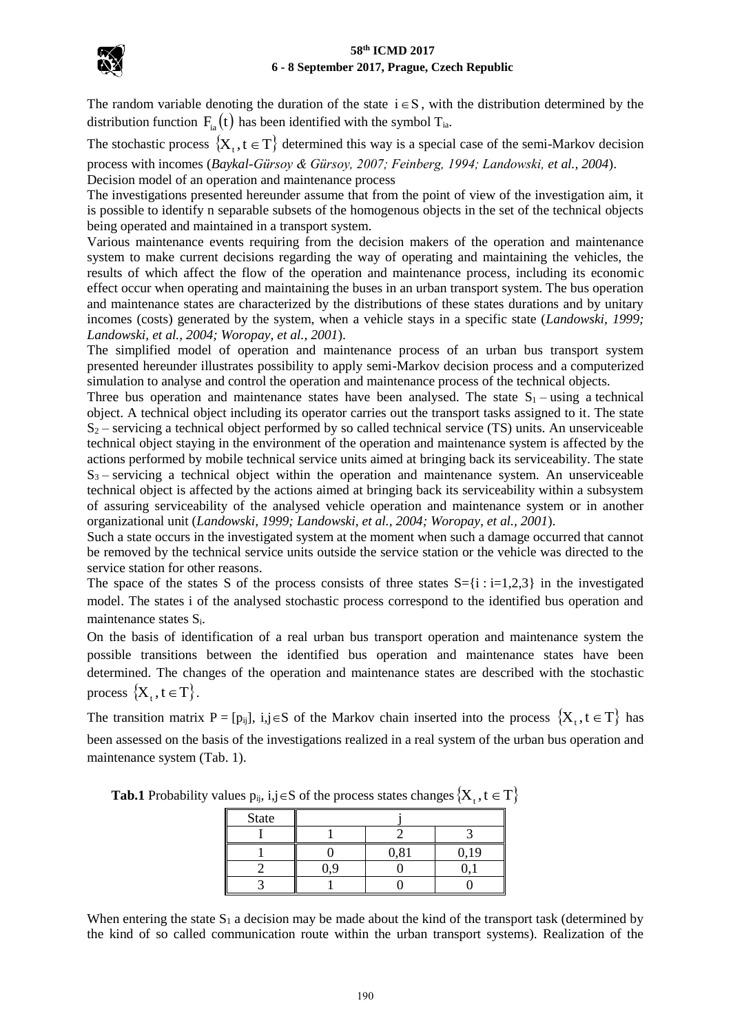

The random variable denoting the duration of the state  $i \in S$ , with the distribution determined by the distribution function  $F_{ia}(t)$  has been identified with the symbol  $T_{ia}$ .

The stochastic process  $\{X_t, t \in T\}$  determined this way is a special case of the semi-Markov decision process with incomes (*Baykal-Gürsoy & Gürsoy, 2007; Feinberg, 1994; Landowski, et al., 2004*). Decision model of an operation and maintenance process

The investigations presented hereunder assume that from the point of view of the investigation aim, it is possible to identify n separable subsets of the homogenous objects in the set of the technical objects being operated and maintained in a transport system.

Various maintenance events requiring from the decision makers of the operation and maintenance system to make current decisions regarding the way of operating and maintaining the vehicles, the results of which affect the flow of the operation and maintenance process, including its economic effect occur when operating and maintaining the buses in an urban transport system. The bus operation and maintenance states are characterized by the distributions of these states durations and by unitary incomes (costs) generated by the system, when a vehicle stays in a specific state (*Landowski, 1999; Landowski, et al., 2004; Woropay, et al., 2001*).

The simplified model of operation and maintenance process of an urban bus transport system presented hereunder illustrates possibility to apply semi-Markov decision process and a computerized simulation to analyse and control the operation and maintenance process of the technical objects.

Three bus operation and maintenance states have been analysed. The state  $S_1$  – using a technical object. A technical object including its operator carries out the transport tasks assigned to it. The state  $S_2$  – servicing a technical object performed by so called technical service (TS) units. An unserviceable technical object staying in the environment of the operation and maintenance system is affected by the actions performed by mobile technical service units aimed at bringing back its serviceability. The state  $S_3$  – servicing a technical object within the operation and maintenance system. An unserviceable technical object is affected by the actions aimed at bringing back its serviceability within a subsystem of assuring serviceability of the analysed vehicle operation and maintenance system or in another organizational unit (*Landowski, 1999; Landowski, et al., 2004; Woropay, et al., 2001*).

Such a state occurs in the investigated system at the moment when such a damage occurred that cannot be removed by the technical service units outside the service station or the vehicle was directed to the service station for other reasons.

The space of the states S of the process consists of three states  $S = \{i : i = 1,2,3\}$  in the investigated model. The states i of the analysed stochastic process correspond to the identified bus operation and maintenance states Si.

On the basis of identification of a real urban bus transport operation and maintenance system the possible transitions between the identified bus operation and maintenance states have been determined. The changes of the operation and maintenance states are described with the stochastic process  $\{X_t, t \in T\}$ .

The transition matrix  $P = [p_{ij}]$ ,  $i, j \in S$  of the Markov chain inserted into the process  $\{X_t, t \in T\}$  has been assessed on the basis of the investigations realized in a real system of the urban bus operation and maintenance system (Tab. 1).

| <b>State</b> |              |      |      |  |  |
|--------------|--------------|------|------|--|--|
|              |              |      |      |  |  |
|              |              | 0,81 | 0,19 |  |  |
|              | $\mathbf{Q}$ |      |      |  |  |
|              |              |      |      |  |  |

**Tab.1** Probability values  $p_{ij}$ ,  $i,j \in S$  of the process states changes  $\{X_t, t \in T\}$ 

When entering the state  $S_1$  a decision may be made about the kind of the transport task (determined by the kind of so called communication route within the urban transport systems). Realization of the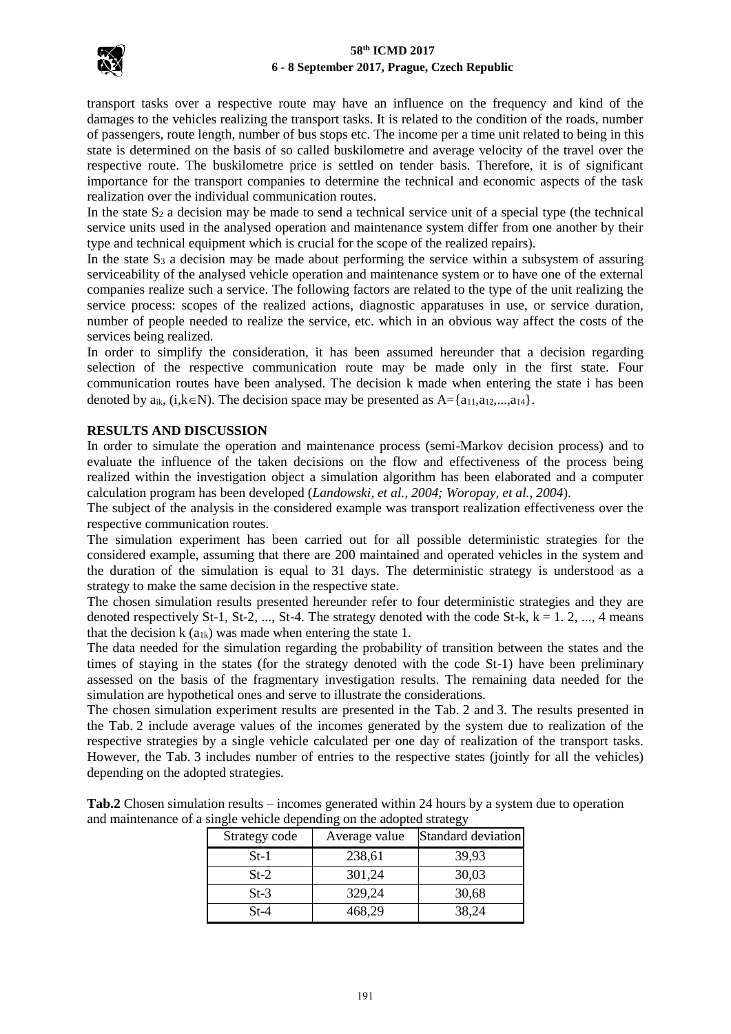

transport tasks over a respective route may have an influence on the frequency and kind of the damages to the vehicles realizing the transport tasks. It is related to the condition of the roads, number of passengers, route length, number of bus stops etc. The income per a time unit related to being in this state is determined on the basis of so called buskilometre and average velocity of the travel over the respective route. The buskilometre price is settled on tender basis. Therefore, it is of significant importance for the transport companies to determine the technical and economic aspects of the task realization over the individual communication routes.

In the state  $S_2$  a decision may be made to send a technical service unit of a special type (the technical service units used in the analysed operation and maintenance system differ from one another by their type and technical equipment which is crucial for the scope of the realized repairs).

In the state  $S_3$  a decision may be made about performing the service within a subsystem of assuring serviceability of the analysed vehicle operation and maintenance system or to have one of the external companies realize such a service. The following factors are related to the type of the unit realizing the service process: scopes of the realized actions, diagnostic apparatuses in use, or service duration, number of people needed to realize the service, etc. which in an obvious way affect the costs of the services being realized.

In order to simplify the consideration, it has been assumed hereunder that a decision regarding selection of the respective communication route may be made only in the first state. Four communication routes have been analysed. The decision k made when entering the state i has been denoted by  $a_{ik}$ , (i, $k\in\mathbb{N}$ ). The decision space may be presented as  $A = \{a_{11}, a_{12},...,a_{14}\}.$ 

## **RESULTS AND DISCUSSION**

In order to simulate the operation and maintenance process (semi-Markov decision process) and to evaluate the influence of the taken decisions on the flow and effectiveness of the process being realized within the investigation object a simulation algorithm has been elaborated and a computer calculation program has been developed (*Landowski, et al., 2004; Woropay, et al., 2004*).

The subject of the analysis in the considered example was transport realization effectiveness over the respective communication routes.

The simulation experiment has been carried out for all possible deterministic strategies for the considered example, assuming that there are 200 maintained and operated vehicles in the system and the duration of the simulation is equal to 31 days. The deterministic strategy is understood as a strategy to make the same decision in the respective state.

The chosen simulation results presented hereunder refer to four deterministic strategies and they are denoted respectively St-1, St-2, ..., St-4. The strategy denoted with the code St-k,  $k = 1, 2, ..., 4$  means that the decision  $k(a_{1k})$  was made when entering the state 1.

The data needed for the simulation regarding the probability of transition between the states and the times of staying in the states (for the strategy denoted with the code St-1) have been preliminary assessed on the basis of the fragmentary investigation results. The remaining data needed for the simulation are hypothetical ones and serve to illustrate the considerations.

The chosen simulation experiment results are presented in the Tab. 2 and 3. The results presented in the Tab. 2 include average values of the incomes generated by the system due to realization of the respective strategies by a single vehicle calculated per one day of realization of the transport tasks. However, the Tab. 3 includes number of entries to the respective states (jointly for all the vehicles) depending on the adopted strategies.

| Strategy code | Average value | - 01<br>Standard deviation |
|---------------|---------------|----------------------------|
| $St-1$        | 238,61        | 39,93                      |
| $St-2$        | 301,24        | 30,03                      |
| $St-3$        | 329,24        | 30,68                      |
| $St-4$        | 468,29        | 38,24                      |

**Tab.2** Chosen simulation results – incomes generated within 24 hours by a system due to operation and maintenance of a single vehicle depending on the adopted strategy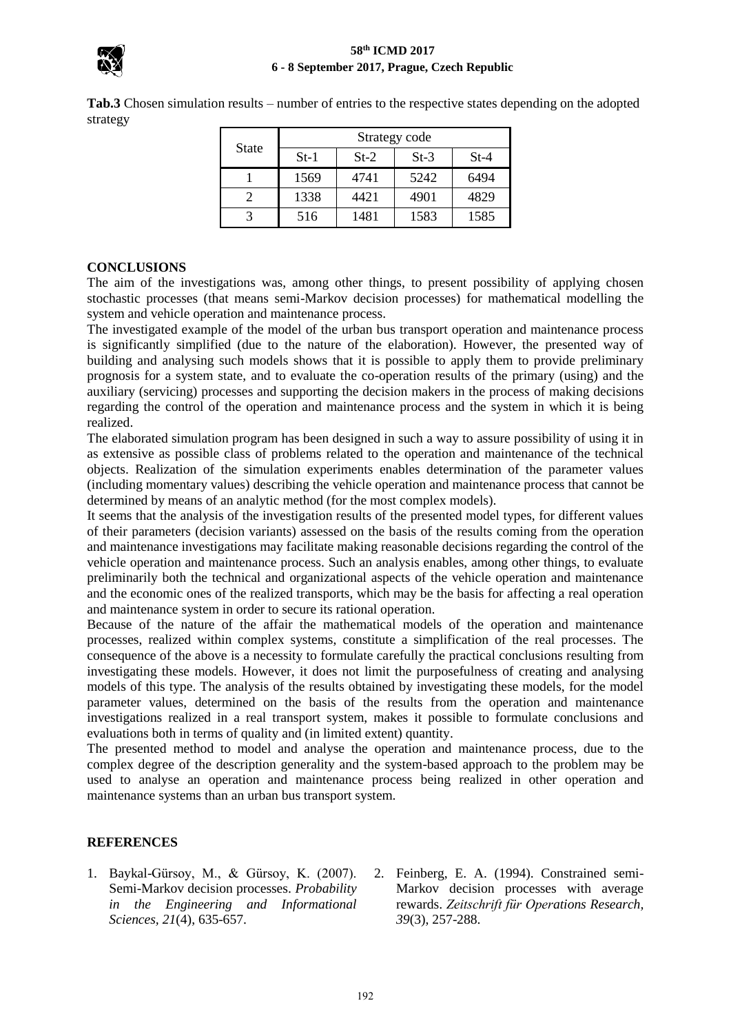

**Tab.3** Chosen simulation results – number of entries to the respective states depending on the adopted strategy

| <b>State</b> | Strategy code |        |        |        |  |
|--------------|---------------|--------|--------|--------|--|
|              | $St-1$        | $St-2$ | $St-3$ | $St-4$ |  |
|              | 1569          | 4741   | 5242   | 6494   |  |
|              | 1338          | 4421   | 4901   | 4829   |  |
|              | 516           | 1481   | 1583   | 1585   |  |

## **CONCLUSIONS**

The aim of the investigations was, among other things, to present possibility of applying chosen stochastic processes (that means semi-Markov decision processes) for mathematical modelling the system and vehicle operation and maintenance process.

The investigated example of the model of the urban bus transport operation and maintenance process is significantly simplified (due to the nature of the elaboration). However, the presented way of building and analysing such models shows that it is possible to apply them to provide preliminary prognosis for a system state, and to evaluate the co-operation results of the primary (using) and the auxiliary (servicing) processes and supporting the decision makers in the process of making decisions regarding the control of the operation and maintenance process and the system in which it is being realized.

The elaborated simulation program has been designed in such a way to assure possibility of using it in as extensive as possible class of problems related to the operation and maintenance of the technical objects. Realization of the simulation experiments enables determination of the parameter values (including momentary values) describing the vehicle operation and maintenance process that cannot be determined by means of an analytic method (for the most complex models).

It seems that the analysis of the investigation results of the presented model types, for different values of their parameters (decision variants) assessed on the basis of the results coming from the operation and maintenance investigations may facilitate making reasonable decisions regarding the control of the vehicle operation and maintenance process. Such an analysis enables, among other things, to evaluate preliminarily both the technical and organizational aspects of the vehicle operation and maintenance and the economic ones of the realized transports, which may be the basis for affecting a real operation and maintenance system in order to secure its rational operation.

Because of the nature of the affair the mathematical models of the operation and maintenance processes, realized within complex systems, constitute a simplification of the real processes. The consequence of the above is a necessity to formulate carefully the practical conclusions resulting from investigating these models. However, it does not limit the purposefulness of creating and analysing models of this type. The analysis of the results obtained by investigating these models, for the model parameter values, determined on the basis of the results from the operation and maintenance investigations realized in a real transport system, makes it possible to formulate conclusions and evaluations both in terms of quality and (in limited extent) quantity.

The presented method to model and analyse the operation and maintenance process, due to the complex degree of the description generality and the system-based approach to the problem may be used to analyse an operation and maintenance process being realized in other operation and maintenance systems than an urban bus transport system.

## **REFERENCES**

- 1. Baykal-Gürsoy, M., & Gürsoy, K. (2007). Semi-Markov decision processes. *Probability in the Engineering and Informational Sciences, 21*(4), 635-657.
- 2. Feinberg, E. A. (1994). Constrained semi-Markov decision processes with average rewards. *Zeitschrift für Operations Research, 39*(3), 257-288.